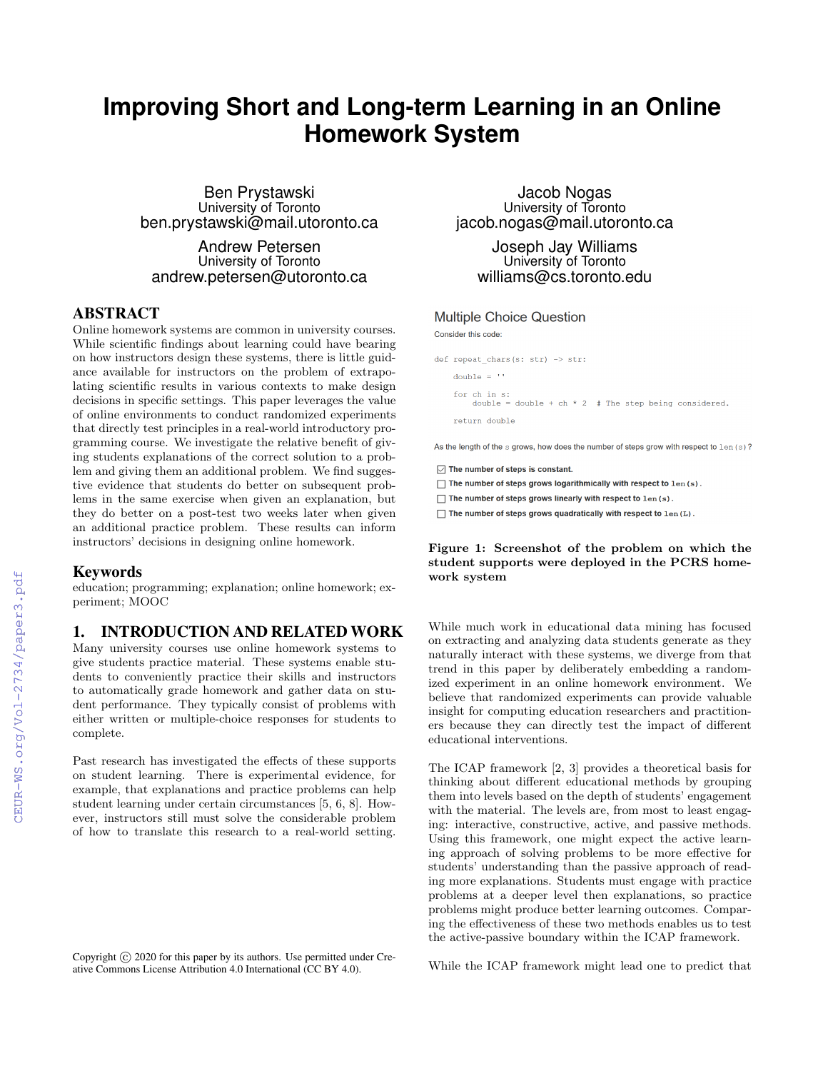# **Improving Short and Long-term Learning in an Online Homework System**

Ben Prystawski University of Toronto ben.prystawski@mail.utoronto.ca

Andrew Petersen University of Toronto andrew.petersen@utoronto.ca

## ABSTRACT

Online homework systems are common in university courses. While scientific findings about learning could have bearing on how instructors design these systems, there is little guidance available for instructors on the problem of extrapolating scientific results in various contexts to make design decisions in specific settings. This paper leverages the value of online environments to conduct randomized experiments that directly test principles in a real-world introductory programming course. We investigate the relative benefit of giving students explanations of the correct solution to a problem and giving them an additional problem. We find suggestive evidence that students do better on subsequent problems in the same exercise when given an explanation, but they do better on a post-test two weeks later when given an additional practice problem. These results can inform instructors' decisions in designing online homework.

#### Keywords

education; programming; explanation; online homework; experiment; MOOC

### 1. INTRODUCTION AND RELATED WORK

Many university courses use online homework systems to give students practice material. These systems enable students to conveniently practice their skills and instructors to automatically grade homework and gather data on student performance. They typically consist of problems with either written or multiple-choice responses for students to complete.

Past research has investigated the effects of these supports on student learning. There is experimental evidence, for example, that explanations and practice problems can help student learning under certain circumstances [5, 6, 8]. However, instructors still must solve the considerable problem of how to translate this research to a real-world setting.

Copyright  $\odot$  2020 for this paper by its authors. Use permitted under Creative Commons License Attribution 4.0 International (CC BY 4.0).

Jacob Nogas University of Toronto jacob.nogas@mail.utoronto.ca

Joseph Jay Williams University of Toronto williams@cs.toronto.edu

#### **Multiple Choice Question**

Consider this code:

def repeat\_chars(s: str) -> str: double =  $11$ for ch in s:<br>
double = double + ch \* 2 # The step being considered. return double

As the length of the s grows, how does the number of steps grow with respect to len (s)?

- $\sqrt{ }$  The number of steps is constant.
- □ The number of steps grows logarithmically with respect to len (s).
- $\Box$  The number of steps grows linearly with respect to  $1en(s)$ .
- □ The number of steps grows quadratically with respect to len (L).

Figure 1: Screenshot of the problem on which the student supports were deployed in the PCRS homework system

While much work in educational data mining has focused on extracting and analyzing data students generate as they naturally interact with these systems, we diverge from that trend in this paper by deliberately embedding a randomized experiment in an online homework environment. We believe that randomized experiments can provide valuable insight for computing education researchers and practitioners because they can directly test the impact of different educational interventions.

The ICAP framework [2, 3] provides a theoretical basis for thinking about different educational methods by grouping them into levels based on the depth of students' engagement with the material. The levels are, from most to least engaging: interactive, constructive, active, and passive methods. Using this framework, one might expect the active learning approach of solving problems to be more effective for students' understanding than the passive approach of reading more explanations. Students must engage with practice problems at a deeper level then explanations, so practice problems might produce better learning outcomes. Comparing the effectiveness of these two methods enables us to test the active-passive boundary within the ICAP framework.

While the ICAP framework might lead one to predict that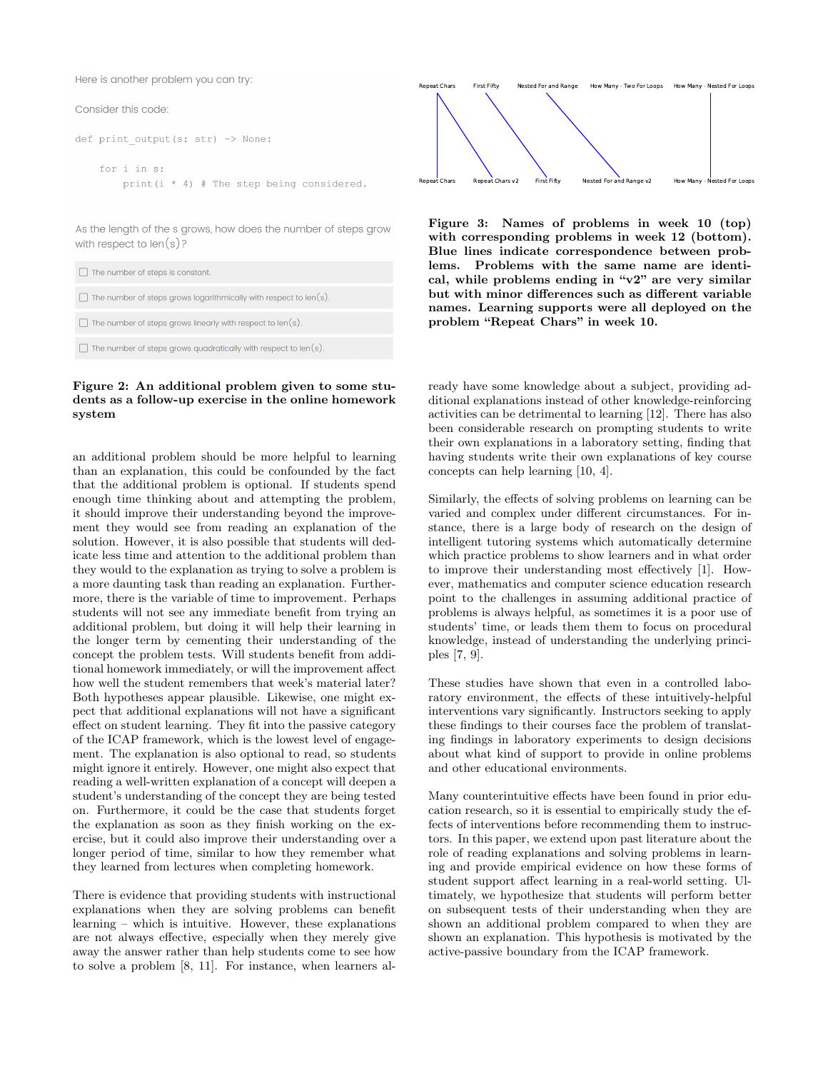Here is another problem you can try:

#### Consider this code:

```
def print output (s: str) -> None:
    for i in s:
        print (i * 4) # The step being considered.
```
As the length of the s grows, how does the number of steps grow with respect to  $len(s)$ ?

| $\Box$ The number of steps is constant.                                  |
|--------------------------------------------------------------------------|
| $\Box$ The number of steps grows logarithmically with respect to len(s). |
| $\Box$ The number of steps grows linearly with respect to len(s).        |
| $\Box$ The number of steps grows quadratically with respect to len(s).   |

#### Figure 2: An additional problem given to some students as a follow-up exercise in the online homework system

an additional problem should be more helpful to learning than an explanation, this could be confounded by the fact that the additional problem is optional. If students spend enough time thinking about and attempting the problem, it should improve their understanding beyond the improvement they would see from reading an explanation of the solution. However, it is also possible that students will dedicate less time and attention to the additional problem than they would to the explanation as trying to solve a problem is a more daunting task than reading an explanation. Furthermore, there is the variable of time to improvement. Perhaps students will not see any immediate benefit from trying an additional problem, but doing it will help their learning in the longer term by cementing their understanding of the concept the problem tests. Will students benefit from additional homework immediately, or will the improvement affect how well the student remembers that week's material later? Both hypotheses appear plausible. Likewise, one might expect that additional explanations will not have a significant effect on student learning. They fit into the passive category of the ICAP framework, which is the lowest level of engagement. The explanation is also optional to read, so students might ignore it entirely. However, one might also expect that reading a well-written explanation of a concept will deepen a student's understanding of the concept they are being tested on. Furthermore, it could be the case that students forget the explanation as soon as they finish working on the exercise, but it could also improve their understanding over a longer period of time, similar to how they remember what they learned from lectures when completing homework.

There is evidence that providing students with instructional explanations when they are solving problems can benefit learning – which is intuitive. However, these explanations are not always effective, especially when they merely give away the answer rather than help students come to see how to solve a problem [8, 11]. For instance, when learners al-



Figure 3: Names of problems in week 10 (top) with corresponding problems in week 12 (bottom). Blue lines indicate correspondence between problems. Problems with the same name are identical, while problems ending in "v2" are very similar but with minor differences such as different variable names. Learning supports were all deployed on the problem "Repeat Chars" in week 10.

ready have some knowledge about a subject, providing additional explanations instead of other knowledge-reinforcing activities can be detrimental to learning [12]. There has also been considerable research on prompting students to write their own explanations in a laboratory setting, finding that having students write their own explanations of key course concepts can help learning [10, 4].

Similarly, the effects of solving problems on learning can be varied and complex under different circumstances. For instance, there is a large body of research on the design of intelligent tutoring systems which automatically determine which practice problems to show learners and in what order to improve their understanding most effectively [1]. However, mathematics and computer science education research point to the challenges in assuming additional practice of problems is always helpful, as sometimes it is a poor use of students' time, or leads them them to focus on procedural knowledge, instead of understanding the underlying principles [7, 9].

These studies have shown that even in a controlled laboratory environment, the effects of these intuitively-helpful interventions vary significantly. Instructors seeking to apply these findings to their courses face the problem of translating findings in laboratory experiments to design decisions about what kind of support to provide in online problems and other educational environments.

Many counterintuitive effects have been found in prior education research, so it is essential to empirically study the effects of interventions before recommending them to instructors. In this paper, we extend upon past literature about the role of reading explanations and solving problems in learning and provide empirical evidence on how these forms of student support affect learning in a real-world setting. Ultimately, we hypothesize that students will perform better on subsequent tests of their understanding when they are shown an additional problem compared to when they are shown an explanation. This hypothesis is motivated by the active-passive boundary from the ICAP framework.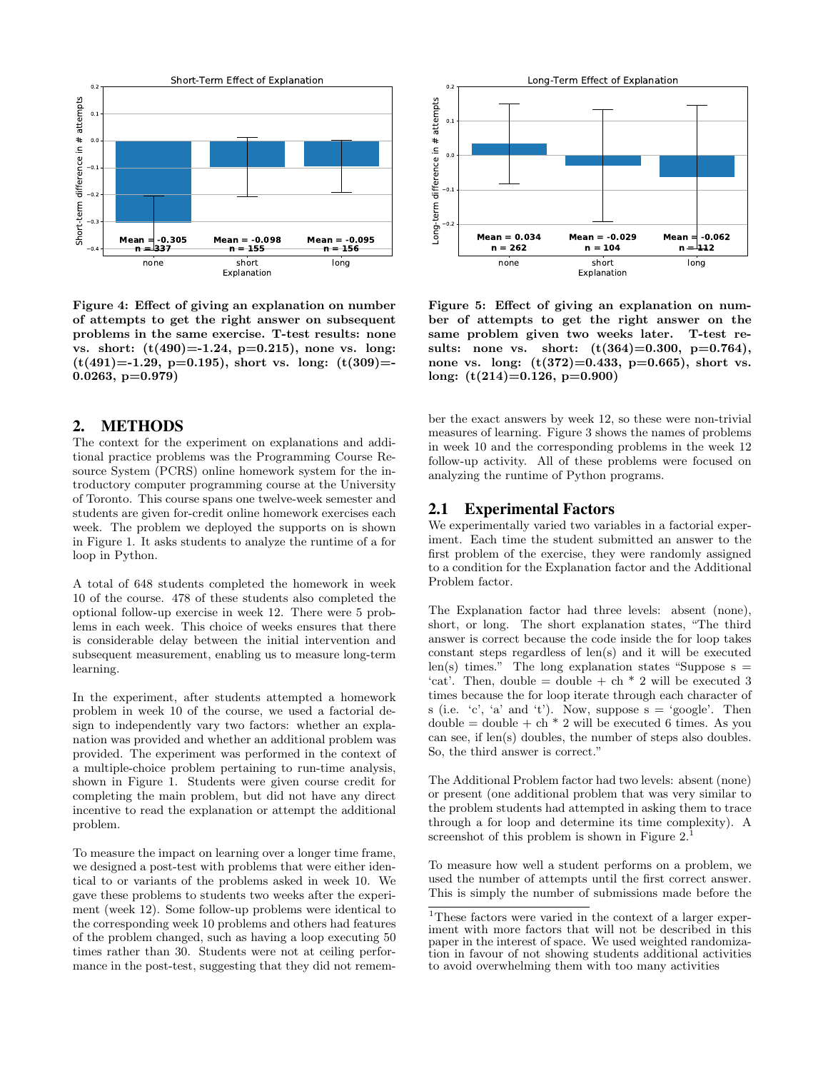

Figure 4: Effect of giving an explanation on number of attempts to get the right answer on subsequent problems in the same exercise. T-test results: none vs. short:  $(t(490)=1.24, p=0.215)$ , none vs. long:  $(t(491)=-1.29, p=0.195)$ , short vs. long:  $(t(309)=-1.29, p=0.195)$ 0.0263, p=0.979)

#### 2. METHODS

The context for the experiment on explanations and additional practice problems was the Programming Course Resource System (PCRS) online homework system for the introductory computer programming course at the University of Toronto. This course spans one twelve-week semester and students are given for-credit online homework exercises each week. The problem we deployed the supports on is shown in Figure 1. It asks students to analyze the runtime of a for loop in Python.

A total of 648 students completed the homework in week 10 of the course. 478 of these students also completed the optional follow-up exercise in week 12. There were 5 problems in each week. This choice of weeks ensures that there is considerable delay between the initial intervention and subsequent measurement, enabling us to measure long-term learning.

In the experiment, after students attempted a homework problem in week 10 of the course, we used a factorial design to independently vary two factors: whether an explanation was provided and whether an additional problem was provided. The experiment was performed in the context of a multiple-choice problem pertaining to run-time analysis, shown in Figure 1. Students were given course credit for completing the main problem, but did not have any direct incentive to read the explanation or attempt the additional problem.

To measure the impact on learning over a longer time frame, we designed a post-test with problems that were either identical to or variants of the problems asked in week 10. We gave these problems to students two weeks after the experiment (week 12). Some follow-up problems were identical to the corresponding week 10 problems and others had features of the problem changed, such as having a loop executing 50 times rather than 30. Students were not at ceiling performance in the post-test, suggesting that they did not remem-



Figure 5: Effect of giving an explanation on number of attempts to get the right answer on the same problem given two weeks later. T-test results: none vs. short:  $(t(364)=0.300, p=0.764)$ , none vs. long:  $(t(372)=0.433, p=0.665)$ , short vs. long: (t(214)=0.126, p=0.900)

ber the exact answers by week 12, so these were non-trivial measures of learning. Figure 3 shows the names of problems in week 10 and the corresponding problems in the week 12 follow-up activity. All of these problems were focused on analyzing the runtime of Python programs.

#### 2.1 Experimental Factors

We experimentally varied two variables in a factorial experiment. Each time the student submitted an answer to the first problem of the exercise, they were randomly assigned to a condition for the Explanation factor and the Additional Problem factor.

The Explanation factor had three levels: absent (none), short, or long. The short explanation states, "The third answer is correct because the code inside the for loop takes constant steps regardless of len(s) and it will be executed len(s) times." The long explanation states "Suppose  $s =$ 'cat'. Then, double = double + ch  $*$  2 will be executed 3 times because the for loop iterate through each character of s (i.e.  $c'$ ,  $a'$  and  $t'$ ). Now, suppose  $s = 'g o o g le'.$  Then  $double = double + ch * 2$  will be executed 6 times. As you can see, if len(s) doubles, the number of steps also doubles. So, the third answer is correct."

The Additional Problem factor had two levels: absent (none) or present (one additional problem that was very similar to the problem students had attempted in asking them to trace through a for loop and determine its time complexity). A screenshot of this problem is shown in Figure  $2<sup>1</sup>$ 

To measure how well a student performs on a problem, we used the number of attempts until the first correct answer. This is simply the number of submissions made before the

<sup>1</sup>These factors were varied in the context of a larger experiment with more factors that will not be described in this paper in the interest of space. We used weighted randomization in favour of not showing students additional activities to avoid overwhelming them with too many activities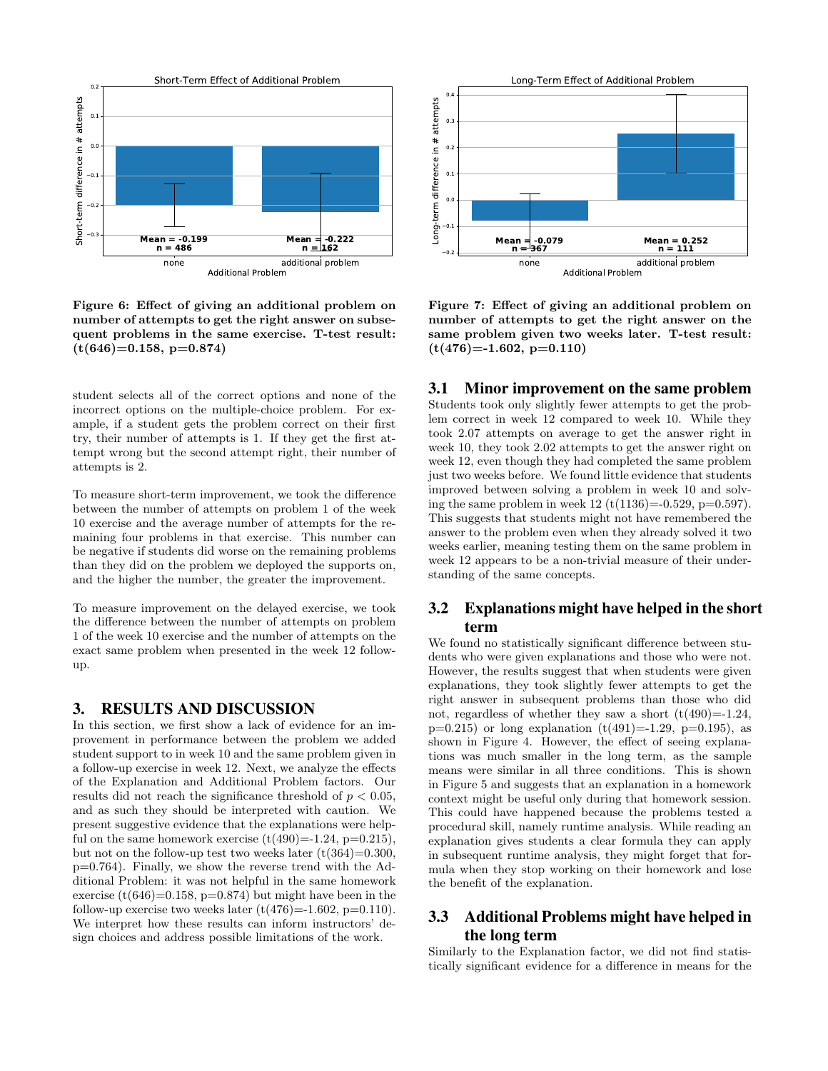

Figure 6: Effect of giving an additional problem on number of attempts to get the right answer on subsequent problems in the same exercise. T-test result:  $(t(646)=0.158, p=0.874)$ 

student selects all of the correct options and none of the incorrect options on the multiple-choice problem. For example, if a student gets the problem correct on their first try, their number of attempts is 1. If they get the first attempt wrong but the second attempt right, their number of attempts is 2.

To measure short-term improvement, we took the difference between the number of attempts on problem 1 of the week 10 exercise and the average number of attempts for the remaining four problems in that exercise. This number can be negative if students did worse on the remaining problems than they did on the problem we deployed the supports on, and the higher the number, the greater the improvement.

To measure improvement on the delayed exercise, we took the difference between the number of attempts on problem 1 of the week 10 exercise and the number of attempts on the exact same problem when presented in the week 12 followup.

#### 3. RESULTS AND DISCUSSION

In this section, we first show a lack of evidence for an improvement in performance between the problem we added student support to in week 10 and the same problem given in a follow-up exercise in week 12. Next, we analyze the effects of the Explanation and Additional Problem factors. Our results did not reach the significance threshold of  $p < 0.05$ , and as such they should be interpreted with caution. We present suggestive evidence that the explanations were helpful on the same homework exercise  $(t(490)=1.24, p=0.215)$ , but not on the follow-up test two weeks later  $(t(364)=0.300,$ p=0.764). Finally, we show the reverse trend with the Additional Problem: it was not helpful in the same homework exercise  $(t(646)=0.158, p=0.874)$  but might have been in the follow-up exercise two weeks later  $(t(476)=1.602, p=0.110)$ . We interpret how these results can inform instructors' design choices and address possible limitations of the work.



Figure 7: Effect of giving an additional problem on number of attempts to get the right answer on the same problem given two weeks later. T-test result:  $(t(476)=1.602, p=0.110)$ 

#### 3.1 Minor improvement on the same problem

Students took only slightly fewer attempts to get the problem correct in week 12 compared to week 10. While they took 2.07 attempts on average to get the answer right in week 10, they took 2.02 attempts to get the answer right on week 12, even though they had completed the same problem just two weeks before. We found little evidence that students improved between solving a problem in week 10 and solving the same problem in week  $12 \ (t(1136)=0.529, p=0.597)$ . This suggests that students might not have remembered the answer to the problem even when they already solved it two weeks earlier, meaning testing them on the same problem in week 12 appears to be a non-trivial measure of their understanding of the same concepts.

## 3.2 Explanations might have helped in the short term

We found no statistically significant difference between students who were given explanations and those who were not. However, the results suggest that when students were given explanations, they took slightly fewer attempts to get the right answer in subsequent problems than those who did not, regardless of whether they saw a short  $(t(490)=1.24,$  $p=0.215$ ) or long explanation  $(t(491)=1.29, p=0.195)$ , as shown in Figure 4. However, the effect of seeing explanations was much smaller in the long term, as the sample means were similar in all three conditions. This is shown in Figure 5 and suggests that an explanation in a homework context might be useful only during that homework session. This could have happened because the problems tested a procedural skill, namely runtime analysis. While reading an explanation gives students a clear formula they can apply in subsequent runtime analysis, they might forget that formula when they stop working on their homework and lose the benefit of the explanation.

## 3.3 Additional Problems might have helped in the long term

Similarly to the Explanation factor, we did not find statistically significant evidence for a difference in means for the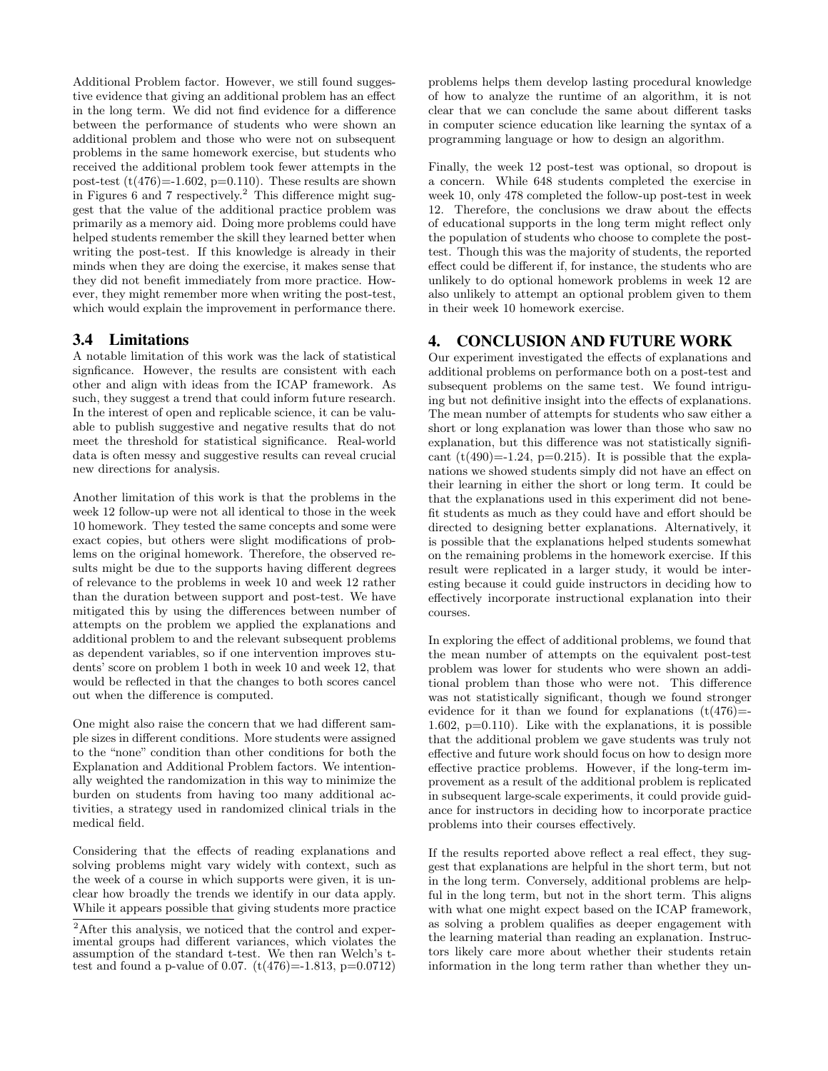Additional Problem factor. However, we still found suggestive evidence that giving an additional problem has an effect in the long term. We did not find evidence for a difference between the performance of students who were shown an additional problem and those who were not on subsequent problems in the same homework exercise, but students who received the additional problem took fewer attempts in the post-test  $(t(476)=1.602, p=0.110)$ . These results are shown in Figures 6 and 7 respectively.<sup>2</sup> This difference might suggest that the value of the additional practice problem was primarily as a memory aid. Doing more problems could have helped students remember the skill they learned better when writing the post-test. If this knowledge is already in their minds when they are doing the exercise, it makes sense that they did not benefit immediately from more practice. However, they might remember more when writing the post-test, which would explain the improvement in performance there.

#### 3.4 Limitations

A notable limitation of this work was the lack of statistical signficance. However, the results are consistent with each other and align with ideas from the ICAP framework. As such, they suggest a trend that could inform future research. In the interest of open and replicable science, it can be valuable to publish suggestive and negative results that do not meet the threshold for statistical significance. Real-world data is often messy and suggestive results can reveal crucial new directions for analysis.

Another limitation of this work is that the problems in the week 12 follow-up were not all identical to those in the week 10 homework. They tested the same concepts and some were exact copies, but others were slight modifications of problems on the original homework. Therefore, the observed results might be due to the supports having different degrees of relevance to the problems in week 10 and week 12 rather than the duration between support and post-test. We have mitigated this by using the differences between number of attempts on the problem we applied the explanations and additional problem to and the relevant subsequent problems as dependent variables, so if one intervention improves students' score on problem 1 both in week 10 and week 12, that would be reflected in that the changes to both scores cancel out when the difference is computed.

One might also raise the concern that we had different sample sizes in different conditions. More students were assigned to the "none" condition than other conditions for both the Explanation and Additional Problem factors. We intentionally weighted the randomization in this way to minimize the burden on students from having too many additional activities, a strategy used in randomized clinical trials in the medical field.

Considering that the effects of reading explanations and solving problems might vary widely with context, such as the week of a course in which supports were given, it is unclear how broadly the trends we identify in our data apply. While it appears possible that giving students more practice

problems helps them develop lasting procedural knowledge of how to analyze the runtime of an algorithm, it is not clear that we can conclude the same about different tasks in computer science education like learning the syntax of a programming language or how to design an algorithm.

Finally, the week 12 post-test was optional, so dropout is a concern. While 648 students completed the exercise in week 10, only 478 completed the follow-up post-test in week 12. Therefore, the conclusions we draw about the effects of educational supports in the long term might reflect only the population of students who choose to complete the posttest. Though this was the majority of students, the reported effect could be different if, for instance, the students who are unlikely to do optional homework problems in week 12 are also unlikely to attempt an optional problem given to them in their week 10 homework exercise.

#### 4. CONCLUSION AND FUTURE WORK

Our experiment investigated the effects of explanations and additional problems on performance both on a post-test and subsequent problems on the same test. We found intriguing but not definitive insight into the effects of explanations. The mean number of attempts for students who saw either a short or long explanation was lower than those who saw no explanation, but this difference was not statistically significant  $(t(490)=1.24, p=0.215)$ . It is possible that the explanations we showed students simply did not have an effect on their learning in either the short or long term. It could be that the explanations used in this experiment did not benefit students as much as they could have and effort should be directed to designing better explanations. Alternatively, it is possible that the explanations helped students somewhat on the remaining problems in the homework exercise. If this result were replicated in a larger study, it would be interesting because it could guide instructors in deciding how to effectively incorporate instructional explanation into their courses.

In exploring the effect of additional problems, we found that the mean number of attempts on the equivalent post-test problem was lower for students who were shown an additional problem than those who were not. This difference was not statistically significant, though we found stronger evidence for it than we found for explanations  $(t(476)$ = 1.602,  $p=0.110$ ). Like with the explanations, it is possible that the additional problem we gave students was truly not effective and future work should focus on how to design more effective practice problems. However, if the long-term improvement as a result of the additional problem is replicated in subsequent large-scale experiments, it could provide guidance for instructors in deciding how to incorporate practice problems into their courses effectively.

If the results reported above reflect a real effect, they suggest that explanations are helpful in the short term, but not in the long term. Conversely, additional problems are helpful in the long term, but not in the short term. This aligns with what one might expect based on the ICAP framework, as solving a problem qualifies as deeper engagement with the learning material than reading an explanation. Instructors likely care more about whether their students retain information in the long term rather than whether they un-

 $\,{}^{2}\mathrm{After }$  this analysis, we noticed that the control and experimental groups had different variances, which violates the assumption of the standard t-test. We then ran Welch's ttest and found a p-value of 0.07.  $(t(476)=1.813, p=0.0712)$